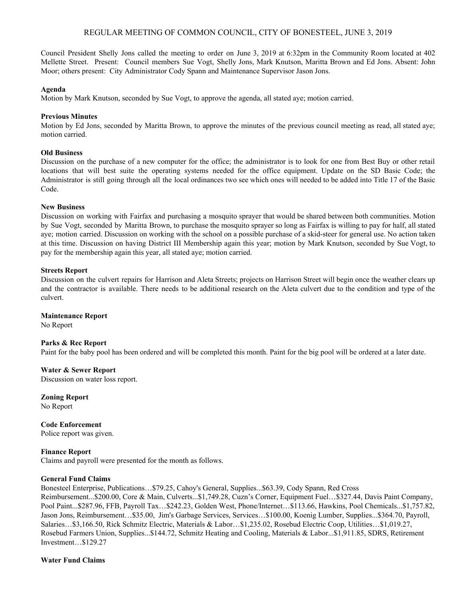# REGULAR MEETING OF COMMON COUNCIL, CITY OF BONESTEEL, JUNE 3, 2019

Council President Shelly Jons called the meeting to order on June 3, 2019 at 6:32pm in the Community Room located at 402 Mellette Street. Present: Council members Sue Vogt, Shelly Jons, Mark Knutson, Maritta Brown and Ed Jons. Absent: John Moor; others present: City Administrator Cody Spann and Maintenance Supervisor Jason Jons.

#### **Agenda**

Motion by Mark Knutson, seconded by Sue Vogt, to approve the agenda, all stated aye; motion carried.

## **Previous Minutes**

Motion by Ed Jons, seconded by Maritta Brown, to approve the minutes of the previous council meeting as read, all stated aye; motion carried.

## **Old Business**

Discussion on the purchase of a new computer for the office; the administrator is to look for one from Best Buy or other retail locations that will best suite the operating systems needed for the office equipment. Update on the SD Basic Code; the Administrator is still going through all the local ordinances two see which ones will needed to be added into Title 17 of the Basic Code.

### **New Business**

Discussion on working with Fairfax and purchasing a mosquito sprayer that would be shared between both communities. Motion by Sue Vogt, seconded by Maritta Brown, to purchase the mosquito sprayer so long as Fairfax is willing to pay for half, all stated aye; motion carried. Discussion on working with the school on a possible purchase of a skid-steer for general use. No action taken at this time. Discussion on having District III Membership again this year; motion by Mark Knutson, seconded by Sue Vogt, to pay for the membership again this year, all stated aye; motion carried.

### **Streets Report**

Discussion on the culvert repairs for Harrison and Aleta Streets; projects on Harrison Street will begin once the weather clears up and the contractor is available. There needs to be additional research on the Aleta culvert due to the condition and type of the culvert.

#### **Maintenance Report**

No Report

## **Parks & Rec Report**

Paint for the baby pool has been ordered and will be completed this month. Paint for the big pool will be ordered at a later date.

## **Water & Sewer Report**

Discussion on water loss report.

**Zoning Report** No Report

**Code Enforcement** Police report was given.

**Finance Report** Claims and payroll were presented for the month as follows.

### **General Fund Claims**

Bonesteel Enterprise, Publications…\$79.25, Cahoy's General, Supplies...\$63.39, Cody Spann, Red Cross Reimbursement...\$200.00, Core & Main, Culverts...\$1,749.28, Cuzn's Corner, Equipment Fuel…\$327.44, Davis Paint Company, Pool Paint...\$287.96, FFB, Payroll Tax…\$242.23, Golden West, Phone/Internet…\$113.66, Hawkins, Pool Chemicals...\$1,757.82, Jason Jons, Reimbursement…\$35.00, Jim's Garbage Services, Services…\$100.00, Koenig Lumber, Supplies...\$364.70, Payroll, Salaries…\$3,166.50, Rick Schmitz Electric, Materials & Labor…\$1,235.02, Rosebud Electric Coop, Utilities…\$1,019.27, Rosebud Farmers Union, Supplies...\$144.72, Schmitz Heating and Cooling, Materials & Labor...\$1,911.85, SDRS, Retirement Investment…\$129.27

**Water Fund Claims**